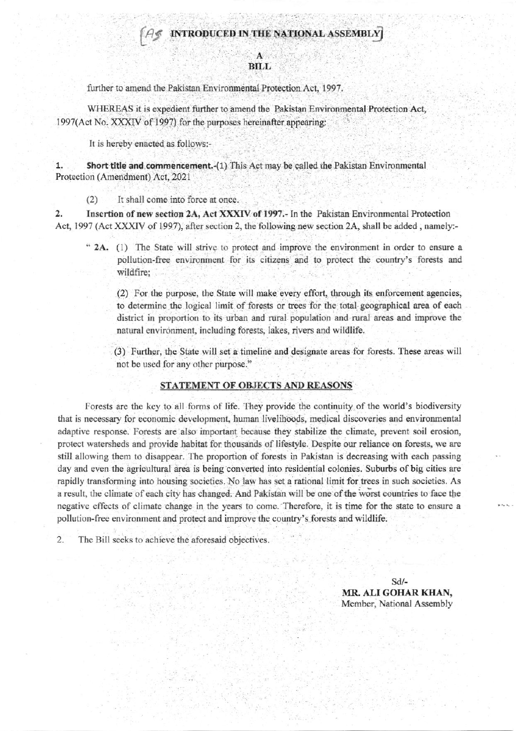## INTRODUCED IN THE NATIONAL ASSEMBLY

## **BILL**

further to amend the Pakistan Environmental Protection Act, 1997.

WHEREAS it is expedient further to amend the Pakistan Environmental Protection Act, 1997(Act No. XXXIV of 1997) for the purposes hereinafter appearing:

It is hereby enacted as follows:-

 $1.$ Short title and commencement.-(1) This Act may be called the Pakistan Environmental Protection (Amendment) Act, 2021

 $(2)$ It shall come into force at once.

2. Insertion of new section 2A, Act XXXIV of 1997.- In the Pakistan Environmental Protection Act, 1997 (Act XXXIV of 1997), after section 2, the following new section 2A, shall be added, namely:-

" 2A. (1) The State will strive to protect and improve the environment in order to ensure a pollution-free environment for its citizens and to protect the country's forests and wildfire;

(2) For the purpose, the State will make every effort, through its enforcement agencies, to determine the logical limit of forests or trees for the total geographical area of each district in proportion to its urban and rural population and rural areas and improve the natural environment, including forests, lakes, rivers and wildlife.

(3) Further, the State will set a timeline and designate areas for forests. These areas will not be used for any other purpose."

## STATEMENT OF OBJECTS AND REASONS

Forests are the key to all forms of life. They provide the continuity of the world's biodiversity that is necessary for economic development, human livelihoods, medical discoveries and environmental adaptive response. Forests are also important because they stabilize the climate, prevent soil erosion, protect watersheds and provide habitat for thousands of lifestyle. Despite our reliance on forests, we are still allowing them to disappear. The proportion of forests in Pakistan is decreasing with each passing day and even the agricultural area is being converted into residential colonies. Suburbs of big cities are rapidly transforming into housing societies. No law has set a rational limit for trees in such societies. As a result, the climate of each city has changed. And Pakistan will be one of the worst countries to face the negative effects of climate change in the years to come. Therefore, it is time for the state to ensure a pollution-free environment and protect and improve the country's forests and wildlife.

 $\overline{2}$ . The Bill seeks to achieve the aforesaid objectives.

> $Sd/-$ MR. ALI GOHAR KHAN, Member, National Assembly